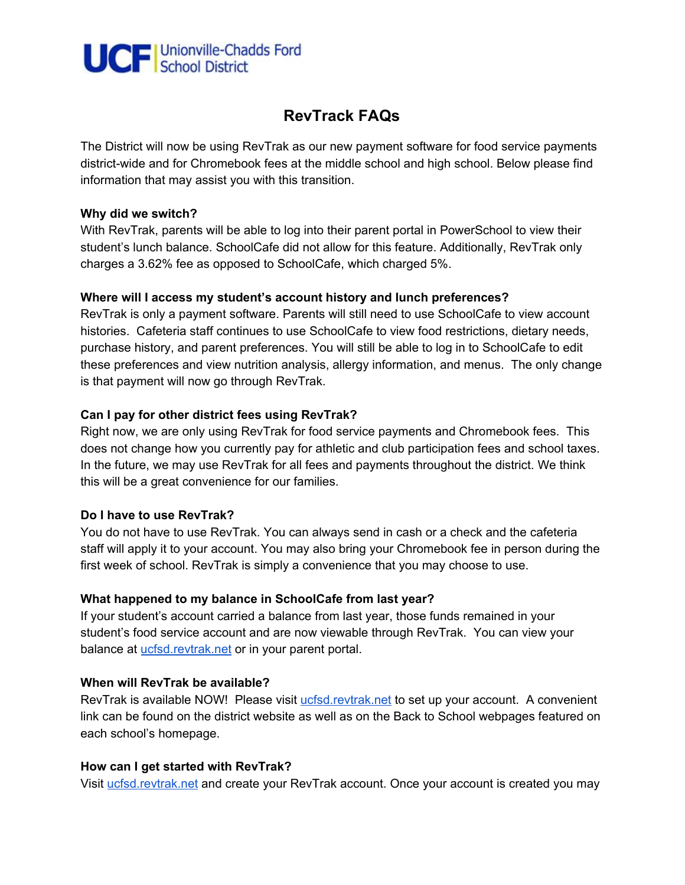

# **RevTrack FAQs**

The District will now be using RevTrak as our new payment software for food service payments district-wide and for Chromebook fees at the middle school and high school. Below please find information that may assist you with this transition.

#### **Why did we switch?**

With RevTrak, parents will be able to log into their parent portal in PowerSchool to view their student's lunch balance. SchoolCafe did not allow for this feature. Additionally, RevTrak only charges a 3.62% fee as opposed to SchoolCafe, which charged 5%.

## **Where will I access my student's account history and lunch preferences?**

RevTrak is only a payment software. Parents will still need to use SchoolCafe to view account histories. Cafeteria staff continues to use SchoolCafe to view food restrictions, dietary needs, purchase history, and parent preferences. You will still be able to log in to SchoolCafe to edit these preferences and view nutrition analysis, allergy information, and menus. The only change is that payment will now go through RevTrak.

## **Can I pay for other district fees using RevTrak?**

Right now, we are only using RevTrak for food service payments and Chromebook fees. This does not change how you currently pay for athletic and club participation fees and school taxes. In the future, we may use RevTrak for all fees and payments throughout the district. We think this will be a great convenience for our families.

## **Do I have to use RevTrak?**

You do not have to use RevTrak. You can always send in cash or a check and the cafeteria staff will apply it to your account. You may also bring your Chromebook fee in person during the first week of school. RevTrak is simply a convenience that you may choose to use.

#### **What happened to my balance in SchoolCafe from last year?**

If your student's account carried a balance from last year, those funds remained in your student's food service account and are now viewable through RevTrak. You can view your balance at *[ucfsd.revtrak.net](https://ucfsd.revtrak.net/)* or in your parent portal.

## **When will RevTrak be available?**

RevTrak is available NOW! Please visit *[ucfsd.revtrak.net](https://ucfsd.revtrak.net/)* to set up your account. A convenient link can be found on the district website as well as on the Back to School webpages featured on each school's homepage.

#### **How can I get started with RevTrak?**

Visit [ucfsd.revtrak.net](https://ucfsd.revtrak.net/) and create your RevTrak account. Once your account is created you may